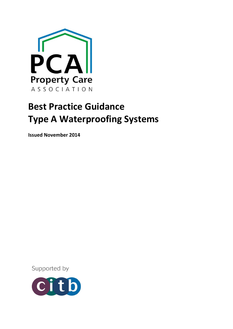

# **Best Practice Guidance Type A Waterproofing Systems**

**Issued November 2014**

Supported by

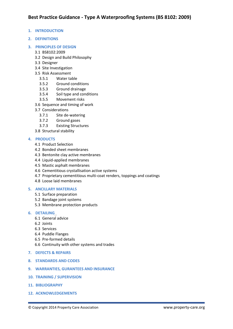- **1. INTRODUCTION**
- **2. DEFINITIONS**
- **3. PRINCIPLES OF DESIGN**
	- 3.1 BS8102:2009
	- 3.2 Design and Build Philosophy
	- 3.3 Designer
	- 3.4 Site Investigation
	- 3.5 Risk Assessment
		- 3.5.1 Water table
		- 3.5.2 Ground conditions
		- 3.5.3 Ground drainage
		- 3.5.4 Soil type and conditions
		- 3.5.5 Movement risks
	- 3.6 Sequence and timing of work
	- 3.7 Considerations
		- 3.7.1 Site de-watering
		- 3.7.2 Ground gases
		- 3.7.3 Existing Structures
	- 3.8 Structural stability

# **4. PRODUCTS**

- 4.1 Product Selection
- 4.2 Bonded sheet membranes
- 4.3 Bentonite clay active membranes
- 4.4 Liquid-applied membranes
- 4.5 Mastic asphalt membranes
- 4.6 Cementitious crystallisation active systems
- 4.7 Proprietary cementitious multi-coat renders, toppings and coatings
- 4.8 Loose laid membranes

# **5. ANCILLARY MATERIALS**

- 5.1 Surface preparation
- 5.2 Bandage joint systems
- 5.3 Membrane protection products

## **6. DETAILING**

- 6.1 General advice
- 6.2 Joints
- 6.3 Services
- 6.4 Puddle Flanges
- 6.5 Pre-formed details
- 6.6 Continuity with other systems and trades
- **7. DEFECTS & REPAIRS**
- **8. STANDARDS AND CODES**
- **9. WARRANTIES, GURANTEES AND INSURANCE**
- **10. TRAINING / SUPERVISION**
- **11. BIBLIOGRAPHY**
- **12. ACKNOWLEDGEMENTS**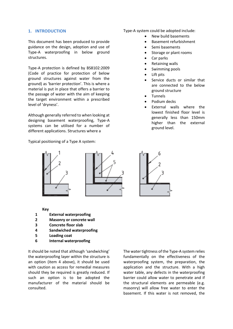# **1. INTRODUCTION**

This document has been produced to provide guidance on the design, adoption and use of Type-A waterproofing in below ground structures.

Type-A protection is defined by BS8102:2009 (Code of practice for protection of below ground structures against water from the ground) as 'barrier protection'. This is where a material is put in place that offers a barrier to the passage of water with the aim of keeping the target environment within a prescribed level of 'dryness'.

Although generally referred to when looking at designing basement waterproofing, Type-A systems can be utilised for a number of different applications. Structures where a

Typical positioning of a Type A system:

## Type-A system could be adopted include:

- New build basements
- Basement refurbishment
- Semi basements
- Storage or plant rooms
- Car parks
- Retaining walls
- Swimming pools
- Lift pits
- Service ducts or similar that are connected to the below ground structure
- Tunnels
- Podium decks
- External walls where the lowest finished floor level is generally less than 150mm higher than the external ground level.



**Key**

- **1 External waterproofing**
- **2 Masonry or concrete wall**
- **3 Concrete floor slab**
- **4 Sandwiched waterproofing**
- **5 Loading coat**
- **6 Internal waterproofing**

It should be noted that although 'sandwiching' the waterproofing layer within the structure is an option (item 4 above), it should be used with caution as access for remedial measures should they be required is greatly reduced. If such an option is to be adopted the manufacturer of the material should be consulted.

The water tightness of the Type-A system relies fundamentally on the effectiveness of the waterproofing system, the preparation, the application and the structure. With a high water table, any defects in the waterproofing barrier could allow water to penetrate and if the structural elements are permeable (e.g. masonry) will allow free water to enter the basement. If this water is not removed, the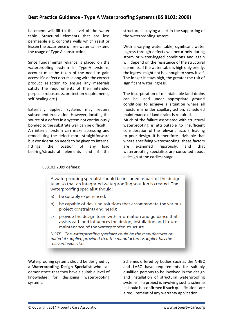basement will fill to the level of the water table. Structural elements that are less permeable e.g. concrete walls which resist or lessen the occurrence of free water can extend the usage of Type A construction.

Since fundamental reliance is placed on the waterproofing system in Type-A systems, account must be taken of the need to gain access if a defect occurs, along with the correct product selection to ensure any materials satisfy the requirements of their intended purpose (robustness, protection requirements, self-healing etc.).

Externally applied systems may require subsequent excavation. However, locating the source of a defect in a system not continuously bonded to the substrate wall can be difficult.

An internal system can make accessing and remediating the defect more straightforward but consideration needs to be given to internal fittings, the location of any load bearing/structural elements and if the structure is playing a part in the supporting of the waterproofing system.

With a varying water table, significant water ingress through defects will occur only during storm or water-logged conditions and again will depend on the resistance of the structural elements. If the water table is high only briefly, the ingress might not be enough to show itself. The longer it stays high, the greater the risk of significant water ingress.

The incorporation of maintainable land drains can be used under appropriate ground conditions to achieve a situation where all moisture is under capillary action. Scheduled maintenance of land drains is required. Much of the failure associated with structural

waterproofing is attributable to insufficient consideration of the relevant factors, leading to poor design. It is therefore advisable that where specifying waterproofing, these factors are examined rigorously, and that waterproofing specialists are consulted about a design at the earliest stage.

## BS8102:2009 defines:

A waterproofing specialist should be included as part of the design team so that an integrated waterproofing solution is created. The waterproofing specialist should:

- $a)$ be suitably experienced;
- b) be capable of devising solutions that accommodate the various project constraints and needs;
- provide the design team with information and quidance that  $\mathsf{C}$ assists with and influences the design, installation and future maintenance of the waterproofed structure.

NOTE The waterproofing specialist could be the manufacturer or material supplier, provided that the manufacturer/supplier has the relevant expertise.

Waterproofing systems should be designed by a **Waterproofing Design Specialist** who can demonstrate that they have a suitable level of knowledge for designing waterproofing systems.

Schemes offered by bodies such as the NHBC and LABC have requirements for suitably qualified persons to be involved in the design and installation of structural waterproofing systems. If a project is involving such a scheme it should be confirmed if such qualifications are a requirement of any warranty application.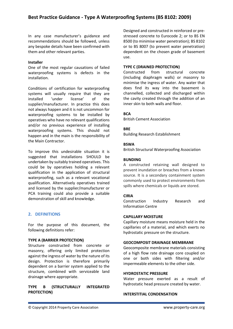In any case manufacturer's guidance and recommendations should be followed, unless any bespoke details have been confirmed with them and other relevant parties.

# **Installer**

One of the most regular causations of failed waterproofing systems is defects in the installation.

Conditions of certification for waterproofing systems will usually require that they are installed 'under license' of the supplier/manufacturer. In practice this does not always happen and it is not uncommon for waterproofing systems to be installed by operatives who have no relevant qualifications and/or no previous experience of installing waterproofing systems. This should not happen and in the main is the responsibility of the Main Contractor.

To improve this undesirable situation it is suggested that installations SHOULD be undertaken by suitably trained operatives. This could be by operatives holding a relevant qualification in the application of structural waterproofing, such as a relevant vocational qualification. Alternatively operatives trained and licensed by the supplier/manufacturer or PCA training could also provide a suitable demonstration of skill and knowledge.

# **2. DEFINITIONS**

For the purpose of this document, the following definitions refer:

# **TYPE A (BARRIER PROTECTION)**

Structure constructed from concrete or masonry, offering only limited protection against the ingress of water by the nature of its design. Protection is therefore primarily dependent on a barrier system applied to the structure, combined with serviceable land drainage where appropriate.

# **TYPE B (STRUCTURALLY INTEGRATED PROTECTION)**

Designed and constructed in reinforced or prestressed concrete to Eurocode 2; or to BS EN 8500 (to minimise water penetration); BS 8102 or to BS 8007 (to prevent water penetration) dependent on the chosen grade of basement use.

# **TYPE C (DRAINED PROTECTION)**

Constructed from structural concrete (including diaphragm walls) or masonry to minimise the ingress of water. Any water that does find its way into the basement is channelled, collected and discharged within the cavity created through the addition of an inner skin to both walls and floor.

# **BCA**

British Cement Association

# **BRE**

Building Research Establishment

# **BSWA**

British Structural Waterproofing Association

# **BUNDING**

A constructed retaining wall designed to prevent inundation or breaches from a known source. It is a secondary containment system commonly used to protect environments from spills where chemicals or liquids are stored.

# **CIRIA**

Construction Industry Research and Information Centre

# **CAPILLARY MOISTURE**

Capillary moisture means moisture held in the capillaries of a material, and which exerts no hydrostatic pressure on the structure.

## **GEOCOMPOSIT DRAINAGE MEMBRANE**

Geocomposite membrane materials consisting of a high flow rate drainage core coupled on one or both sides with filtering and/or impermeable elements to the other side.

## **HYDROSTATIC PRESSURE**

Water pressure exerted as a result of hydrostatic head pressure created by water.

## **INTERSTITIAL CONDENSATION**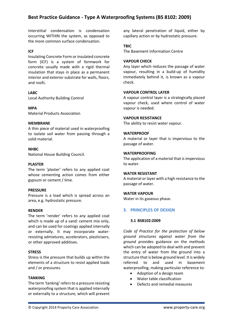Interstitial condensation is condensation occurring WITHIN the system, as opposed to the more common surface condensation.

# **ICF**

Insulating Concrete Form or insulated concrete form (ICF) is a system of [formwork](http://en.wikipedia.org/wiki/Formwork) fo[r](http://en.wikipedia.org/wiki/Reinforced_concrete)  [concrete](http://en.wikipedia.org/wiki/Reinforced_concrete) usually made with a rigid [thermal](http://en.wikipedia.org/wiki/Thermal_insulation)  [insulation](http://en.wikipedia.org/wiki/Thermal_insulation) that stays in place as a permanent interior and exterior substrate for walls, floors, and roofs.

# **LABC**

Local Authority Building Control

**MPA**

Material Products Association

## **MEMBRANE**

A thin piece of material used in waterproofing to isolate soil water from passing through a solid material.

## **NHBC**

National House Building Council.

## **PLASTER**

The term 'plaster' refers to any applied coat whose cementing action comes from either gypsum or cement / lime.

## **PRESSURE**

Pressure is a load which is spread across an area, e.g. hydrostatic pressure.

## **RENDER**

The term 'render' refers to any applied coat which is made up of a sand: cement mix only, and can be used for coatings applied internally or externally. It may incorporate waterresisting admixtures, accelerators, plasticisers, or other approved additives.

## **STRESS**

Stress is the pressure that builds up within the elements of a structure to resist applied loads and / or pressures.

## **TANKING**

The term 'tanking' refers to a pressure resisting waterproofing system that is applied internally or externally to a structure, which will prevent any lateral penetration of liquid, either by capillary action or by hydrostatic pressure.

## **TBIC**

The Basement Information Centre

## **VAPOUR CHECK**

Any layer which reduces the passage of water vapour, resulting in a build-up of humidity immediately behind it, is known as a vapour check.

## **VAPOUR CONTROL LAYER**

A vapour control layer is a strategically placed vapour check, used where control of water vapour is needed.

## **VAPOUR RESISTANCE**

The ability to resist water vapour.

## **WATERPROOF**

A material or layer that is impervious to the passage of water.

## **WATERPROOFING**

The application of a material that is impervious to water.

## **WATER RESISTANT**

A material or layer with a high resistance to the passage of water.

## **WATER VAPOUR**

Water in its gaseous phase.

# **3. PRINCIPLES OF DESIGN**

## **3.1 BS8102:2009**

*Code of Practice for the protection of below ground structures against water from the ground* provides guidance on the methods which can be adopted to deal with and prevent the entry of water from the ground into a structure that is below ground level. It is widely referred to and used in basement waterproofing, making particular reference to:

- Adoption of a design team
- Water table classification
- Defects and remedial measures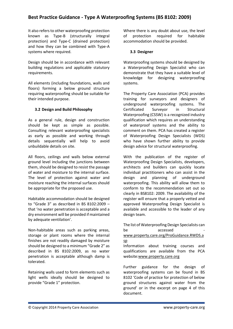It also refers to other waterproofing protection known as Type-B (structurally integral protection) and Type-C (drained protection) and how they can be combined with Type-A systems where required.

Design should be in accordance with relevant building regulations and applicable statutory requirements.

All elements (including foundations, walls and floors) forming a below ground structure requiring waterproofing should be suitable for their intended purpose.

# **3.2 Design and Build Philosophy**

As a general rule, design and construction should be kept as simple as possible. Consulting relevant waterproofing specialists as early as possible and working through details sequentially will help to avoid unbuildable details on site.

All floors, ceilings and walls below external ground level including the junctions between them, should be designed to resist the passage of water and moisture to the internal surface. The level of protection against water and moisture reaching the internal surfaces should be appropriate for the proposed use.

Habitable accommodation should be designed to "Grade 3" as described in BS 8102:2009 – that 'no water penetration is acceptable and a dry environment will be provided if maintained by adequate ventilation'.

Non-habitable areas such as parking areas, storage or plant rooms where the internal finishes are not readily damaged by moisture should be designed to a minimum "Grade 2" as described in BS 8102:2009, as no water penetration is acceptable although damp is tolerated.

Retaining walls used to form elements such as light wells ideally should be designed to provide "Grade 1" protection.

Where there is any doubt about use, the level of protection required for habitable accommodation should be provided.

# **3.3 Designer**

Waterproofing systems should be designed by a Waterproofing Design Specialist who can demonstrate that they have a suitable level of knowledge for designing waterproofing systems.

The Property Care Association (PCA) provides training for surveyors and designers of underground waterproofing systems. The Certificated Surveyor in Structural Waterproofing (CSSW) is a recognized industry qualification which requires an understanding of waterproof systems and the ability to comment on them. PCA has created a register of Waterproofing Design Specialists (WDS) who have shown further ability to provide design advice for structural waterproofing.

With the publication of the register of Waterproofing Design Specialists, developers, architects and builders can quickly locate individual practitioners who can assist in the design and planning of underground waterproofing. This ability will allow them to conform to the recommendation set out so clearly in BS8102: 2009. The availability of the register will ensure that a properly vetted and approved Waterproofing Design Specialist is available and accessible to the leader of any design team.

The list of Waterproofing Design Specialists can be accessed [www.property.care.org/ProGuidance.RWDS.a](http://www.property.care.org/ProGuidance.RWDS.asp) [sp](http://www.property.care.org/ProGuidance.RWDS.asp) Information about training courses and

qualifications are available from the PCA website[:www.property.care.org](http://www.property.care.org/)

Further guidance for the design of waterproofing systems can be found in BS 8102 'Code of practice for protection of below ground structures against water from the ground' or in the excerpt on page 4 of this document.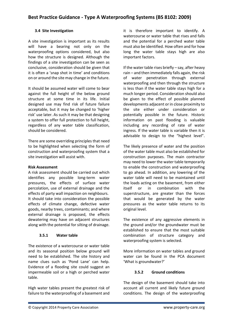# **3.4 Site Investigation**

A site investigation is important as its results will have a bearing not only on the waterproofing options considered, but also how the structure is designed. Although the findings of a site investigation can be seen as conclusive, consideration should be given that it is often a 'snap shot in time' and conditions on or around the site may change in the future.

It should be assumed water will come to bear against the full height of the below ground structure at some time in its life. Initial designed use may find risk of future failure acceptable, but it may be changed to 'higher risk' use later. As such it may be that designing a system to offer full protection to full height, regardless of any water table classification, should be considered.

There are some overriding principles that need to be highlighted when selecting the form of construction and waterproofing system that a site investigation will assist with.

# **Risk Assessment**

A risk assessment should be carried out which identifies any possible long-term water pressures, the effects of surface water percolation, use of external drainage and the effects of party wall impaction on neighbours. It should take into consideration the possible effects of climate change, defective water goods, nearby trees, contaminants; and where external drainage is proposed, the effects dewatering may have on adjacent structures along with the potential for silting of drainage.

# **3.5.1 Water table**

The existence of a watercourse or water table and its seasonal position below ground will need to be established. The site history and name clues such as 'Pond Lane' can help. Evidence of a flooding site could suggest an impermeable soil or a high or perched water table.

High water tables present the greatest risk of failure to the waterproofing of a basement and it is therefore important to identify. A watercourse or water table that rises and falls and the potential for a perched water table must also be identified. How often and for how long the water table stays high are also important factors.

If the water table rises briefly – say, after heavy rain – and then immediately falls again, the risk of water penetration through external waterproofing and then through the structure is less than if the water table stays high for a much longer period. Consideration should also be given to the effect of possible planned developments adjacent or in close proximity to the site either under consideration or potentially possible in the future. Historic information on past flooding is valuable including any recording of rate of water ingress. If the water table is variable then it is advisable to design to the "highest level".

The likely presence of water and the position of the water table must also be established for construction purposes. The main contractor may need to lower the water table temporarily to enable the construction and waterproofing to go ahead. In addition, any lowering of the water table will need to be maintained until the loads acting on the basement, from either itself or in combination with the superstructure, are greater than the forces that would be generated by the water pressures as the water table returns to its original level.

The existence of any aggressive elements in the ground and/or the groundwater must be established to ensure that the most suitable combination of structure category and waterproofing system is selected.

More information on water tables and ground water can be found in the PCA document 'What is groundwater?'

# **3.5.2 Ground conditions**

The design of the basement should take into account all current and likely future ground conditions. The design of the waterproofing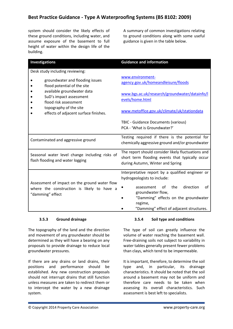system should consider the likely effects of these ground conditions, including water, and assume exposure of the basement to full height of water within the design life of the building.

A summary of common investigations relating to ground conditions along with some useful guidance is given in the table below.

| <b>Investigations</b>                                                                                                                                                                                               | <b>Guidance and information</b>                                                                                                                                                                                                                   |
|---------------------------------------------------------------------------------------------------------------------------------------------------------------------------------------------------------------------|---------------------------------------------------------------------------------------------------------------------------------------------------------------------------------------------------------------------------------------------------|
| Desk study including reviewing:                                                                                                                                                                                     |                                                                                                                                                                                                                                                   |
| groundwater and flooding issues<br>flood potential of the site<br>available groundwater data<br>SuD's impact assessment<br>flood risk assessment<br>topography of the site<br>effects of adjacent surface finishes. | www.environment-<br>agency.gov.uk/homeandleisure/floods                                                                                                                                                                                           |
|                                                                                                                                                                                                                     | www.bgs.ac.uk/research/groundwater/datainfo/l<br>evels/home.html                                                                                                                                                                                  |
|                                                                                                                                                                                                                     | www.metoffice.gov.uk/climate/uk/stationdata                                                                                                                                                                                                       |
|                                                                                                                                                                                                                     | TBIC - Guidance Documents (various)<br>PCA - 'What is Groundwater?'                                                                                                                                                                               |
| Contaminated and aggressive ground                                                                                                                                                                                  | Testing required if there is the potential for<br>chemically aggressive ground and/or groundwater                                                                                                                                                 |
| Seasonal water level change including risks of<br>flash flooding and water logging                                                                                                                                  | The report should consider likely fluctuations and<br>short term flooding events that typically occur<br>during Autumn, Winter and Spring                                                                                                         |
| Assessment of impact on the ground water flow<br>where the construction is likely to have a<br>"damming" effect                                                                                                     | Interpretative report by a qualified engineer or<br>hydrogeologists to include:<br>the<br>direction<br>of<br>assessment<br>οf<br>groundwater flow,<br>"Damming" effects on the groundwater<br>regime,<br>"Damming" effect of adjacent structures. |

# **3.5.3 Ground drainage**

The topography of the land and the direction and movement of any groundwater should be determined as they will have a bearing on any proposals to provide drainage to reduce local groundwater pressures.

If there are any drains or land drains, their positions and performance should be established. Any new construction proposals should not interrupt drains that still function unless measures are taken to redirect them or to intercept the water by a new drainage system.

# **3.5.4 Soil type and conditions**

The type of soil can greatly influence the volume of water reaching the basement wall. Free-draining soils not subject to variability in water tables generally present fewer problems than clays, which tend to be impermeable.

It is important, therefore, to determine the soil type and, in particular, its drainage characteristics. It should be noted that the soil around a basement may not be uniform and therefore care needs to be taken when assessing its overall characteristics. Such assessment is best left to specialists.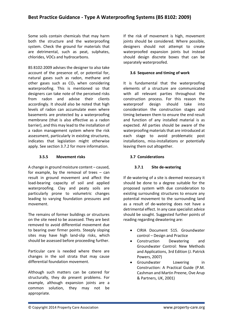Some soils contain chemicals that may harm both the structure and the waterproofing system. Check the ground for materials that are detrimental, such as peat, sulphates, chlorides, VOCs and hydrocarbons.

BS 8102:2009 advises the designer to also take account of the presence of, or potential for, natural gases such as radon, methane and other gases such as  $CO<sub>2</sub>$  when considering waterproofing. This is mentioned so that designers can take note of the perceived risks from radon and advise their clients accordingly. It should also be noted that high levels of radon can accumulate even where basements are protected by a waterproofing membrane (that is also effective as a radon barrier), and this may lead to the installation of a radon management system where the risk assessment, particularly in existing structures, indicates that legislation might otherwise apply. See section 3.7.2 for more information.

# **3.5.5 Movement risks**

A change in ground moisture content – caused, for example, by the removal of trees – can result in ground movement and affect the load-bearing capacity of soil and applied waterproofing. Clay and peaty soils are particularly prone to volumetric changes leading to varying foundation pressures and movement.

The remains of former buildings or structures on the site need to be assessed. They are best removed to avoid differential movement due to bearing over firmer points. Steeply sloping sites may have high land-slip risks, which should be assessed before proceeding further.

Particular care is needed where there are changes in the soil strata that may cause differential foundation movement.

Although such matters can be catered for structurally, they do present problems. For example, although expansion joints are a common solution, they may not be appropriate.

If the risk of movement is high, movement joints should be considered. Where possible, designers should not attempt to create waterproofed expansion joints but instead should design discrete boxes that can be separately waterproofed.

# **3.6 Sequence and timing of work**

It is fundamental that the waterproofing elements of a structure are communicated with all relevant parties throughout the construction process. For this reason the waterproof design should take into consideration the construction stages and timing between them to ensure the end result and function of any installed material is as expected. All parties should be aware of the waterproofing materials that are introduced at each stage to avoid problematic post installations, miss-installations or potentially leaving them out altogether.

# **3.7 Considerations**

# **3.7.1 Site de-watering**

If de-watering of a site is deemed necessary it should be done to a degree suitable for the proposed system with due consideration to existing surrounding structures to ensure any potential movement to the surrounding land as a result of de-watering does not have a detrimental effect. In any case specialist advice should be sought. Suggested further points of reading regarding dewatering are:

- CIRIA Document 515. Groundwater control – Design and Practice
- Construction Dewatering and Groundwater Control: New Methods and Applications, 3rd Edition (J. Patrick Powers, 2007)
- Groundwater Lowering in Construction: A Practical Guide (P.M. Cashman and Martin Preene, Ove Arup & Partners, UK, 2001)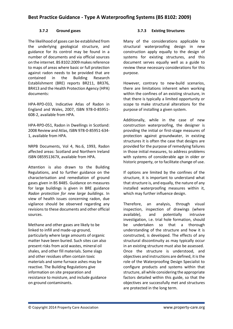# **3.7.2 Ground gases**

The likelihood of gases can be established from the underlying geological structure, and guidance for its control may be found in a number of documents and via official sources on the internet. BS 8102:2009 makes reference to maps of areas where basic or full protection against radon needs to be provided that are contained in the Building Research Establishment (BRE) reports BR211, BR376, BR413 and the Health Protection Agency (HPA) documents:

[HPA-RPD-033, Indicative Atlas of Radon in](http://www.hpa.org.uk/web/HPAweb&HPAwebStandard/HPAweb_C/1195733749409)  [England and Wales, 2007, I](http://www.hpa.org.uk/web/HPAweb&HPAwebStandard/HPAweb_C/1195733749409)SBN 978-0-85951- 608-2, available from HPA.

[HPA-RPD-051, Radon in Dwellings in Scotland:](http://webarchive.nationalarchives.gov.uk/20140714084352/http:/www.hpa.org.uk/web/HPAweb&HPAwebStandard/HPAweb_C/1309969225203)  [2008 Review and Atlas,](http://webarchive.nationalarchives.gov.uk/20140714084352/http:/www.hpa.org.uk/web/HPAweb&HPAwebStandard/HPAweb_C/1309969225203) ISBN 978-0-85951-634- 1, available from HPA.

[NRPB Documents, Vol 4, No.6, 1993, Radon](http://www.ukradon.org/resources/)  [affected areas: Scotland and Northern Ireland](http://www.ukradon.org/resources/)  ISBN 085951367X, available from HPA.

Attention is also drawn to the Building Regulations, and to further guidance on the characterisation and remediation of ground gases given in BS 8485. Guidance on measures for large buildings is given in BRE guidance *Radon protection for new large buildings*. In view of health issues concerning radon, due vigilance should be observed regarding any revisions to these documents and other official sources.

Methane and other gases are likely to be linked to infill and made-up ground, particularly where large amounts of organic matter have been buried. Such sites can also present risks from acid wastes, mineral oil shales, and other fill materials. Some slags and other residues often contain toxic materials and some furnace ashes may be reactive. The Building Regulations give information on site preparation and resistance to moisture, and include guidance on ground contaminants.

# **3.7.3 Existing Structures**

Many of the considerations applicable to structural waterproofing design in new construction apply equally to the design of systems for existing structures, and this document serves equally well as a guide to review these necessary considerations for this purpose.

However, contrary to new-build scenarios, there are limitations inherent when working within the confines of an existing structure, in that there is typically a limited opportunity or scope to make structural alterations for the purpose of installing a given system.

Additionally, while in the case of new construction waterproofing, the designer is providing the initial or first-stage measures of protection against groundwater, in existing structures it is often the case that designs are provided for the purpose of remedying failures in those initial measures, to address problems with systems of considerable age in older or historic property, or to facilitate change of use.

If options are limited by the confines of the structure, it is important to understand what that structure is, and equally, the nature of any installed waterproofing measures within it, which may further influence design.

Therefore, an analysis, through visual inspection, inspection of drawings (where available), and potentially intrusive investigation, i.e. trial hole formation, should be undertaken so that a thorough understanding of the structure and how it is constructed, is developed. The effects of any structural discontinuity as may typically occur in an existing structure must also be assessed. Once the structure is understood, and objectives and instructions are defined, it is the role of the Waterproofing Design Specialist to configure products and systems within that structure, all while considering the appropriate factors detailed within this guide, so that the objectives are successfully met and structures are protected in the long term.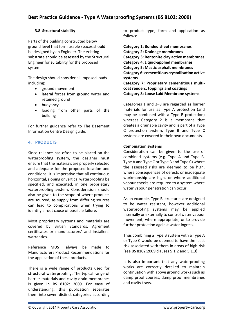# **3.8 Structural stability**

Parts of the building constructed below ground level that form usable spaces should be designed by an Engineer. The existing substrate should be assessed by the Structural Engineer for suitability for the proposed system.

The design should consider all imposed loads including:

- ground movement
- lateral forces from ground water and retained ground
- buoyancy
- loading from other parts of the building

For further guidance refer to The Basement Information Centre Design guide.

# **4. PRODUCTS**

Since reliance has often to be placed on the waterproofing system, the designer must ensure that the materials are properly selected and adequate for the proposed location and conditions. It is imperative that all continuous horizontal, sloping or vertical waterproofing be specified, and executed, in one proprietary waterproofing system. Consideration should also be given to the scope of where products are sourced, as supply from differing sources can lead to complications when trying to identify a root cause of possible failure.

Most proprietary systems and materials are covered by British Standards, Agrément certificates or manufacturers' and installers' warranties.

Reference MUST always be made to Manufacturers Product Recommendations for the application of these products.

There is a wide range of products used for structural waterproofing. The typical range of barrier materials and cavity drain membranes is given in BS 8102: 2009. For ease of understanding, this publication separates them into seven distinct categories according

to product type, form and application as follows:

**Category 1: Bonded sheet membranes Category 2: Drainage membranes Category 3: Bentonite clay active membranes Category 4: Liquid-applied membranes Category 5: Mastic asphalt membranes Category 6: cementitious crystallisation active systems Category 7: Proprietary cementitious multicoat renders, toppings and coatings**

**Category 8: Loose Laid Membrane systems**

Categories 1 and 3–8 are regarded as barrier materials for use as Type A protection (and may be combined with a Type B protection) whereas Category 2 is a membrane that creates a drainable cavity and is part of a Type C protection system. Type B and Type C systems are covered in their own documents.

# **Combination systems**

Consideration can be given to the use of combined systems (e.g. Type A and Type B, Type A and Type C or Type B and Type C) where the assessed risks are deemed to be high, where consequences of defects or inadequate workmanship are high, or where additional vapour checks are required to a system where water vapour penetration can occur.

As an example, Type B structures are designed to be water resistant, however additional waterproofing systems may be applied internally or externally to control water vapour movement, where appropriate, or to provide further protection against water ingress.

Thus combining a Type B system with a Type A or Type C would be deemed to have the least risk associated with them in areas of high risk (see BS 8102:2009 clauses 5.1.2 and 5.1.3).

It is also important that any waterproofing works are correctly detailed to maintain continuation with above ground works such as damp proof courses, damp proof membranes and cavity trays.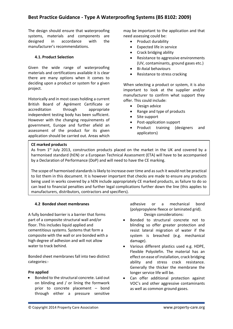The design should ensure that waterproofing systems, materials and components are designed in accordance with the manufacturer's recommendations.

## **4.1. Product Selection**

Given the wide range of waterproofing materials and certifications available it is clear there are many options when it comes to deciding upon a product or system for a given project.

Historically and in most cases holding a current British Board of Agrément Certificate or accreditation through appropriate independent testing body has been sufficient. However with the changing requirements of government, Europe and further afield an assessment of the product for its given application should be carried out. Areas which may be important to the application and that need assessing could be:

- Product durability
- Expected life in service
- Crack bridging ability
- Resistance to aggressive environments (UV, contaminants, ground gases etc.)
- Bi-Axial behaviours
- Resistance to stress cracking

When selecting a product or system, it is also important to look at the supplier and/or manufacturer to confirm what support they offer. This could include:

- Design advice
- Range and type of products
- Site support
- Post-application support
- Product training (designers and applicators)

## **CE marked products**

As from  $1^{st}$  July 2013, construction products placed on the market in the UK and covered by a harmonised standard (hEN) or a European Technical Assessment (ETA) will have to be accompanied by a Declaration of Performance (DoP) and will need to have the CE marking.

The scope of harmonised standards is likely to increase over time and as such it would not be practical to list them in this document. It is however important that checks are made to ensure any products being used in works covered by a hEN include appropriately CE marked products, as failure to do so can lead to financial penalties and further legal complications further down the line (this applies to manufacturers, distributors, contractors and specifiers).

## **4.2 Bonded sheet membranes**

A fully bonded barrier is a barrier that forms part of a composite structural wall and/or floor. This includes liquid applied and cementitious systems. Systems that form a composite with the wall or are bonded with a high degree of adhesion and will not allow water to track behind.

Bonded sheet membranes fall into two distinct categories:-

## **Pre applied**

 Bonded to the structural concrete. Laid out on blinding and / or lining the formwork prior to concrete placement – bond through either a pressure sensitive adhesive or a mechanical bond (polypropylene fleece or laminated grid). Design considerations:

- Bonded to structural concrete not to blinding so offer greater protection and resist lateral migration of water if the system is breached (e.g. mechanical damage).
- Various different plastics used e.g. HDPE, Flexible Polyolefin. The material has an effect on ease of installation, crack bridging ability and stress crack resistance. Generally the thicker the membrane the longer service life will be.
- Can offer additional protection against VOC's and other aggressive contaminants as well as common ground gases.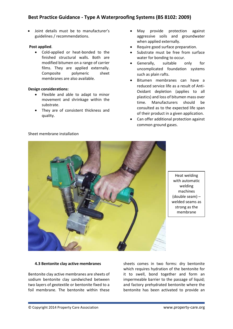Joint details must be to manufacturer's guidelines / recommendations.

# **Post applied**.

 Cold-applied or heat-bonded to the finished structural walls. Both are modified bitumen on a range of carrier films. They are applied externally. Composite polymeric sheet membranes are also available.

# **Design considerations:**

- Flexible and able to adapt to minor movement and shrinkage within the substrate.
- They are of consistent thickness and quality.
- May provide protection against aggressive soils and groundwater when applied externally.
- Require good surface preparation.
- Substrate must be free from surface water for bonding to occur.
- Generally, suitable only for uncomplicated foundation systems such as plain rafts.
- Bitumen membranes can have a reduced service life as a result of Anti-Oxidant depletion (applies to all plastics) and loss of bitumen mass over time. Manufacturers should be consulted as to the expected life span of their product in a given application.
- Can offer additional protection against common ground gases.



Heat welding with automatic welding machines (double seam) – welded seams as strong as the membrane

## **4.3 Bentonite clay active membranes**

Bentonite clay active membranes are sheets of sodium bentonite clay sandwiched between two layers of geotextile or bentonite fixed to a foil membrane. The bentonite within these

sheets comes in two forms: dry bentonite which requires hydration of the bentonite for it to swell, bond together and form an impermeable barrier to the passage of liquid; and factory prehydrated bentonite where the bentonite has been activated to provide an

# Sheet membrane installation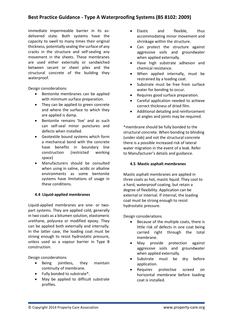immediate impermeable barrier in its asdelivered state. Both systems have the capacity to swell to many times their original thickness, potentially sealing the surface of any cracks in the structure and self-sealing any movement in the sheets. These membranes are used either externally or sandwiched between secant or sheet piles and the structural concrete of the building they waterproof.

Design considerations

- Bentonite membranes can be applied with minimum surface preparation.
- They can be applied to green concrete and where the surface to which they are applied is damp.
- Bentonite remains 'live' and as such can self-seal minor punctures and defects when installed.
- Geotextile bound systems which form a mechanical bond with the concrete have benefits in boundary line construction (restricted working space)
- Manufacturers should be consulted when using in saline, acidic or alkaline environments as some bentonite systems have limitations of usage in these conditions.

# **4.4 Liquid-applied membranes**

Liquid-applied membranes are one- or twopart systems. They are applied cold, generally in two coats as a bitumen solution, elastomeric urethane, polyurea or modified epoxy. They can be applied both externally and internally. In the latter case, the loading coat must be strong enough to resist hydrostatic pressure, unless used as a vapour barrier in Type B construction.

Design considerations

- Being jointless, they maintain continuity of membrane.
- Fully bonded to substrate\*.
- May be applied to difficult substrate profiles.
- Elastic and flexible, thus accommodating minor movement and shrinkage within the structure.
- Can protect the structure against aggressive soils and groundwater when applied externally.
- Have high substrate adhesion and chemical resistance.
- When applied internally, must be restrained by a loading coat.
- Substrate must be free from surface water for bonding to occur.
- Requires good surface preparation.
- Careful application needed to achieve correct thickness of dried film.
- Additional detailing and reinforcement at angles and joints may be required.

\*membrane should be fully bonded to the structural concrete. When bonding to blinding (under slab) and not the structural concrete there is a possible increased risk of lateral water migration in the event of a leak. Refer to Manufacturer's details and guidance.

# **4.5 Mastic asphalt membranes**

Mastic asphalt membranes are applied in three coats as hot, mastic liquid. They cool to a hard, waterproof coating, but retain a degree of flexibility. Application can be external or internal. If internal, the loading coat must be strong enough to resist hydrostatic pressure.

# Design considerations

- Because of the multiple coats, there is little risk of defects in one coat being carried right through the total membrane.
- May provide protection against aggressive soils and groundwater when applied externally.
- Substrate must be dry before application.
- Requires protective screed on horizontal membrane before loading coat is installed.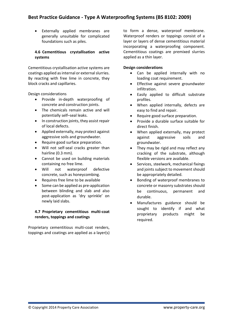Externally applied membranes are generally unsuitable for complicated foundations such as piles.

# **4.6 Cementitious crystallisation active systems**

Cementitious crystallisation active systems are coatings applied as internal or external slurries. By reacting with free lime in concrete, they block cracks and capillaries.

Design considerations

- Provide in-depth waterproofing of concrete and construction joints.
- The chemicals remain active and will potentially self–seal leaks.
- In construction joints, they assist repair of local defects.
- Applied externally, may protect against aggressive soils and groundwater.
- Require good surface preparation.
- Will not self-seal cracks greater than hairline (0.3 mm).
- Cannot be used on building materials containing no free lime.
- Will not waterproof defective concrete, such as honeycombing.
- Requires free lime to be available
- Some can be applied as pre-application between blinding and slab and also post-application as 'dry sprinkle' on newly laid slabs.

# **4.7 Proprietary cementitious multi-coat renders, toppings and coatings**

Proprietary cementitious multi-coat renders, toppings and coatings are applied as a layer(s) to form a dense, waterproof membrane. Waterproof renders or toppings consist of a layer or layers of dense cementitious material incorporating a waterproofing component. Cementitious coatings are premixed slurries applied as a thin layer.

# **Design considerations**

- Can be applied internally with no loading coat requirement.
- Effective against severe groundwater infiltration.
- Easily applied to difficult substrate profiles.
- When applied internally, defects are easy to find and repair.
- Require good surface preparation.
- Provide a durable surface suitable for direct finish.
- When applied externally, may protect against aggressive soils and groundwater.
- They may be rigid and may reflect any cracking of the substrate, although flexible versions are available.
- Services, steelwork, mechanical fixings and joints subject to movement should be appropriately detailed.
- Bonding of waterproof membranes to concrete or masonry substrates should be continuous, permanent and durable.
- Manufactures guidance should be sought to identify if and what proprietary products might be required.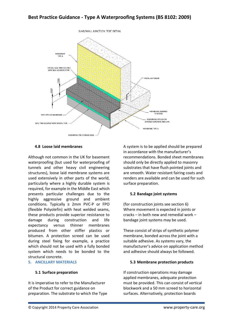

# **4.8 Loose laid membranes**

Although not common in the UK for basement waterproofing (but used for waterproofing of tunnels and other heavy civil engineering structures), loose laid membrane systems are used extensively in other parts of the world, particularly where a highly durable system is required, for example in the Middle East which presents particular challenges due to the highly aggressive ground and ambient conditions. Typically ≥ 2mm PVC-P or FPO (flexible Polyolefin) with heat welded seams, these products provide superior resistance to damage during construction and life expectancy versus thinner membranes produced from other stiffer plastics or bitumen. A protection screed can be used during steel fixing for example, a practice which should not be used with a fully bonded system which needs to be bonded to the structural concrete.

## **5. ANCILLARY MATERIALS**

# **5.1 Surface preparation**

It is imperative to refer to the Manufacturer of the Product for correct guidance on preparation. The substrate to which the Type

A system is to be applied should be prepared in accordance with the manufacturer's recommendations. Bonded sheet membranes should only be directly applied to masonry substrates that have flush pointed joints and are smooth. Water resistant fairing coats and renders are available and can be used for such surface preparation.

# **5.2 Bandage joint systems**

(for construction joints see section 6) Where movement is expected in joints or cracks – in both new and remedial work – bandage joint systems may be used.

These consist of strips of synthetic polymer membrane, bonded across the joint with a suitable adhesive. As systems vary, the manufacturer's advice on application method and adhesive should always be followed.

# **5.3 Membrane protection products**

If construction operations may damage applied membranes, adequate protection must be provided. This can consist of vertical blockwork and a 50 mm screed to horizontal surfaces. Alternatively, protection boards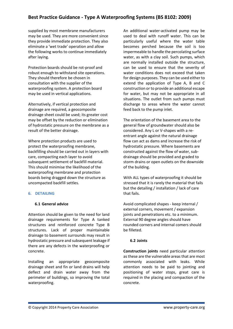supplied by most membrane manufacturers may be used. They are more convenient since they provide immediate protection. They also eliminate a 'wet trade' operation and allow the following works to continue immediately after laying.

Protection boards should be rot-proof and robust enough to withstand site operations. They should therefore be chosen in consultation with the supplier of the waterproofing system. A protection board may be used in vertical applications.

Alternatively, if vertical protection and drainage are required, a geocomposite drainage sheet could be used; its greater cost may be offset by the reduction or elimination of hydrostatic pressure on the membrane as a result of the better drainage.

Where protection products are used to protect the waterproofing membrane, backfilling should be carried out in layers with care, compacting each layer to avoid subsequent settlement of backfill material. This should minimise the likelihood of the waterproofing membrane and protection boards being dragged down the structure as uncompacted backfill settles.

## **6. DETAILING**

## **6.1 General advice**

Attention should be given to the need for land drainage requirements for Type A tanked structures and reinforced concrete Type B structures. Lack of proper maintainable drainage to basement surrounds may result in hydrostatic pressure and subsequent leakage if there are any defects in the waterproofing or concrete.

Installing an appropriate geocomposite drainage sheet and fin or land drains will help deflect and drain water away from the perimeter of buildings, so improving the total waterproofing.

An additional water-activated pump may be used to deal with runoff water. This can be particularly useful where the water table becomes perched because the soil is too impermeable to handle the percolating surface water, as with a clay soil. Such pumps, which are normally installed outside the structure, can be used to ensure that the severity of water conditions does not exceed that taken for design purposes. They can be used either to extend the application of Type A, B and C construction or to provide an additional escape for water, but may not be appropriate in all situations. The outlet from such pumps must discharge to areas where the water cannot feed back to the pump inlet.

The orientation of the basement area to the general flow of groundwater should also be considered. Any L or V-shapes with a reentrant angle against the natural drainage flow can act as dams and increase the risk of hydrostatic pressure. Where basements are constructed against the flow of water, subdrainage should be provided and graded to storm drains or open outlets on the downside of the building.

With ALL types of waterproofing it should be stressed that it is rarely the material that fails but the detailing / installation / lack of care that fails.

Avoid complicated shapes - keep internal / external corners, movement / expansion joints and penetrations etc. to a minimum. External 90 degree angles should have rounded corners and internal comers should be filleted.

# **6.2 Joints**

**Construction joints** need particular attention as these are the vulnerable areas that are most commonly associated with leaks. While attention needs to be paid to jointing and positioning of water stops, great care is required in the placing and compaction of the concrete.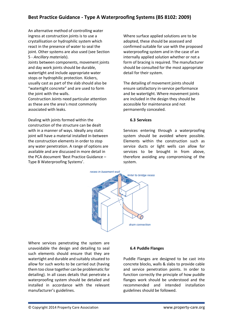An alternative method of controlling water ingress at construction joints is to use a crystallisation or hydrophilic system which react in the presence of water to seal the joint. Other systems are also used (see Section 5 - *Ancillary materials*).

Joints between components, movement joints and day work joints should be durable, watertight and include appropriate water stops or hydrophilic protection. Kickers, usually cast as part of the slab should also be "watertight concrete" and are used to form the joint with the walls.

Construction Joints need particular attention as these are the area's most commonly associated with leaks.

Dealing with joints formed within the construction of the structure can be dealt with in a manner of ways. Ideally any static joint will have a material installed in-between the construction elements in order to stop any water penetration. A range of options are available and are discussed in more detail in the PCA document 'Best Practice Guidance – Type B Waterproofing Systems'.

Where surface applied solutions are to be adopted, these should be assessed and confirmed suitable for use with the proposed waterproofing system and in the case of an internally applied solution whether or not a form of bracing is required. The manufacturer should be consulted for the most appropriate detail for their system.

The detailing of movement joints should ensure satisfactory in-service performance and be watertight. Where movement joints are included in the design they should be accessible for maintenance and not permanently concealed.

## **6.3 Services**

Services entering through a waterproofing system should be avoided where possible. Elements within the construction such as service ducts or light wells can allow for services to be brought in from above, therefore avoiding any compromising of the system.



Where services penetrating the system are unavoidable the design and detailing to seal such elements should ensure that they are watertight and durable and suitably situated to allow for such works to be carried out (having them too close together can be problematic for detailing). In all cases details that penetrate a waterproofing system should be detailed and installed in accordance with the relevant manufacturer's guidelines.

## **6.4 Puddle Flanges**

Puddle Flanges are designed to be cast into concrete blocks, walls & slabs to provide cable and service penetration points. In order to function correctly the principle of how puddle flanges work should be understood and the recommended and intended installation guidelines should be followed.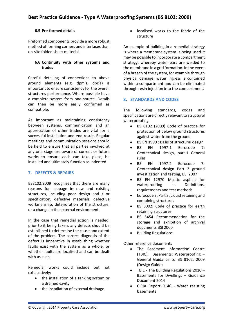# **6.5 Pre-formed details**

Preformed components provide a more robust method of forming corners and interfaces than on-site folded sheet material.

# **6.6 Continuity with other systems and trades**

Careful detailing of connections to above ground elements (e.g. dpm's, dpc's) is important to ensure consistency for the overall structures performance. Where possible have a complete system from one source. Details can then be more easily confirmed as compatible.

As important as maintaining consistency between systems, communication and an appreciation of other trades are vital for a successful installation and end result. Regular meetings and communication sessions should be held to ensure that all parties involved at any one stage are aware of current or future works to ensure each can take place, be installed and ultimately function as indented.

# **7. DEFECTS & REPAIRS**

BS8102:2009 recognises that there are many reasons for seepage in new and existing structures, including poor design and / or specification, defective materials, defective workmanship, deterioration of the structure, or a change in the external environment.

In the case that remedial action is needed, prior to it being taken, any defects should be established to determine the cause and extent of the problem. The correct diagnosis of the defect is imperative in establishing whether faults exist with the system as a whole, or whether faults are localised and can be dealt with as such.

Remedial works could include but not exhaustively:

- the installation of a tanking system or a drained cavity
- the installation of external drainage

 localised works to the fabric of the structure

An example of building in a remedial strategy is where a membrane system is being used it may be possible to incorporate a compartment strategy, whereby water bars are welded to the membrane in a grid formation. In the event of a breach of the system, for example through physical damage, water ingress is contained within a compartment and can be eliminated through resin injection into the compartment.

# **8. STANDARDS AND CODES**

The following standards, codes and specifications are directly relevant to structural waterproofing:

- BS 8102 (2009) Code of practice for protection of below ground structures against water from the ground
- BS EN 1990 : Basis of structural design
- BS EN 1997-1 Eurocode 7: Geotechnical design, part-1 General rules
- BS EN 1997-2 Eurocode 7- Geotechnical design Part 2 ground investigation and testing, BSI 2007
- BS EN 12970 Mastic asphalt for waterproofing – Definitions, requirements and test methods
- Eurocode 2: Part 3: Liquid retaining and containing structures
- BS 8002: Code of practice for earth retaining structures
- BS 5454 Recommendation for the storage and exhibition of archival documents BSI 2000
- Building Regulations

Other reference documents

- The Basement Information Centre (TBIC): Basements: Waterproofing – General Guidance to BS 8102: 2009 (Design Guide)
- TBIC The Building Regulations 2010 Basements for Dwellings – Guidance Document 2014
- CIRIA Report R140 Water resisting basements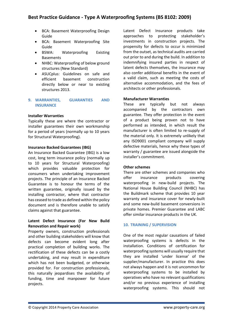- BCA: Basement Waterproofing Design Guide
- BCA: Basement Waterproofing Site Guide
- BSWA: Waterproofing Existing Basements
- NHBC: Waterproofing of below ground structures (New Standard)
- ASUCplus: Guidelines on safe and efficient basement construction directly below or near to existing structures 2013.

# **9. WARRANTIES, GUARANTIES AND INSURANCE**

# **Installer Warranties**

Typically these are where the contractor or installer guarantees their own workmanship for a period of years (normally up to 10 years for Structural Waterproofing).

# **Insurance Backed Guarantees (IBG)**

An Insurance Backed Guarantee (IBG) is a low cost, long term insurance policy (normally up to 10 years for Structural Waterproofing) which provides valuable protection for consumers when undertaking improvement projects. The principle of an Insurance Backed Guarantee is to honour the terms of the written guarantee, originally issued by the installing contractor, where that contractor has ceased to trade as defined within the policy document and is therefore unable to satisfy claims against that guarantee.

# **Latent Defect Insurance (For New Build Renovation and Repair work)**

Property owners, construction professionals and other building stakeholders will know that defects can become evident long after practical completion of building works. The rectification of these defects can be a costly undertaking, and may result in expenditure which has not been budgeted, or otherwise provided for. For construction professionals, this naturally jeopardises the availability of funding, time and manpower for future projects.

Latent Defect Insurance products take approaches to protecting stakeholder's investments in construction projects. The propensity for defects to occur is minimized from the outset, as technical audits are carried out prior to and during the build. In addition to indemnifying insured parties in respect of latent defects themselves, the insurance may also confer additional benefits in the event of a valid claim, such as meeting the costs of alternative accommodation, and the fees of architects or other professionals.

# **Manufacturer Warranties**

These are typically but not always accompanied by the contractors own guarantee. They offer protection in the event of a product being proven not to have performed as intended, in which result the manufacturer is often limited to re-supply of the material only. It is extremely unlikely that any ISO9001 compliant company will supply defective materials, hence why these types of warranty / guarantee are issued alongside the installer's commitment.

# **Other schemes**

There are other schemes and companies who offer insurance products covering waterproofing in new-build projects. The National House Building Council (NHBC) has the Buildmark scheme that provides 10 year warranty and insurance cover for newly-built and some new-build basement conversions in private homes. Premier Guarantee and LABC offer similar insurance products in the UK.

# **10. TRAINING / SUPERVISION**

One of the most regular causations of failed waterproofing systems is defects in the installation. Conditions of certification for waterproofing systems will usually require that they are installed 'under license' of the supplier/manufacturer. In practice this does not always happen and it is not uncommon for waterproofing systems to be installed by operatives who have no relevant qualifications and/or no previous experience of installing waterproofing systems. This should not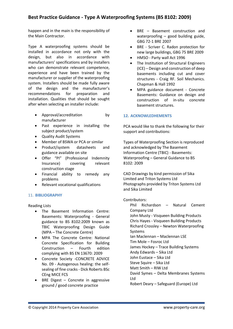happen and in the main is the responsibility of the Main Contractor.

Type A waterproofing systems should be installed in accordance not only with the design, but also in accordance with manufacturers' specifications and by installers who can demonstrate relevant competence, experience and have been trained by the manufacturer or supplier of the waterproofing system. Installers should be made fully aware of the design and the manufacturer's recommendations for preparation and installation. Qualities that should be sought after when selecting an installer include:

- Approval/accreditation by manufacturer
- Past experience in installing the subject product/system
- Quality Audit Systems
- Member of BSWA or PCA or similar
- Product/system datasheets and guidance available on site
- Offer "PI" (Professional Indemnity Insurance) covering relevant construction stage
- Financial ability to remedy any problems
- Relevant vocational qualifications

# 11. **BIBLIOGRAPHY**

Reading Lists

- The Basement Information Centre: Basements: Waterproofing - General guidance to BS 8102:2009 known as TBIC Waterproofing Design Guide (MPA – The Concrete Centre)
- MPA The Concrete Centre: National Concrete Specification for Building Construction – Fourth edition complying with BS EN 13670: 2009
- Concrete Society -CONCRETE ADVICE No. 09 - Autogenous healing: the selfsealing of fine cracks - Dick Roberts BSc CEng MICE FCS
- $\bullet$  BRE Digest Concrete in aggressive ground / good concrete practice
- BRE Basement construction and waterproofing – good building guide, GBG 72-1 BRE 2007
- BRE Scriver C. Radon protection for new large buildings, GBG 75 BRE 2009
- HMSO Party wall Act 1996
- The Institution of Structural Engineers (ICE) – Design and construction of deep basements including cut and cover structures - Craig RF. Soil Mechanics. Chapman & Hall 1992
- MPA guidance document Concrete Basements: Guidance on design and construction of in-situ concrete basement structures.

# **12. ACKNOWLEDHEMENTS**

PCA would like to thank the following for their support and contributions:

Types of Waterproofing Section is reproduced and acknowledged by The Basement Information Centre (TBIC) - Basements: Waterproofing – General Guidance to BS 8102: 2009

CAD Drawings by kind permission of Sika Limited and Triton Systems Ltd Photographs provided by Triton Systems Ltd and Sika Limited

# Contributors:

Phil Richardson – Natural Cement Company Ltd John Musty - Visqueen Building Products Chris Hayes - Visqueen Building Products Richard Crossley – Newton Waterproofing Systems Ian Maclennan – Maclennan LSE Tim Mole – Fosroc Ltd James Hockey – Trace Building Systems Andy Edwards – Sika Ltd John Eustace – Sika Ltd Steve Squire – Sika Ltd Matt Smith – RIW Ltd David Symes – Delta Membranes Systems Ltd Robert Deary – Safeguard (Europe) Ltd